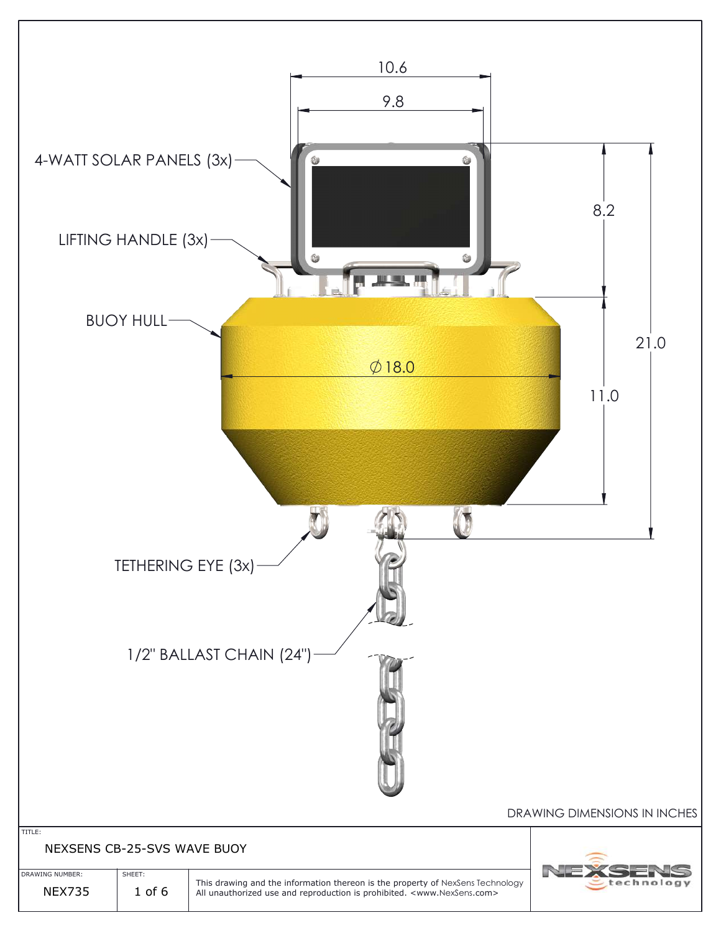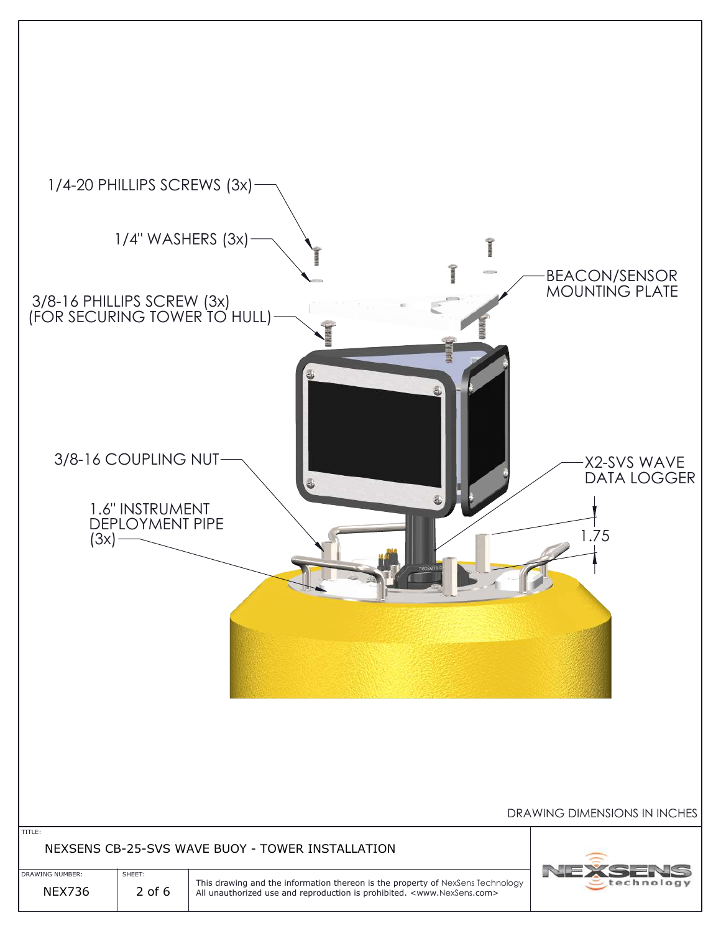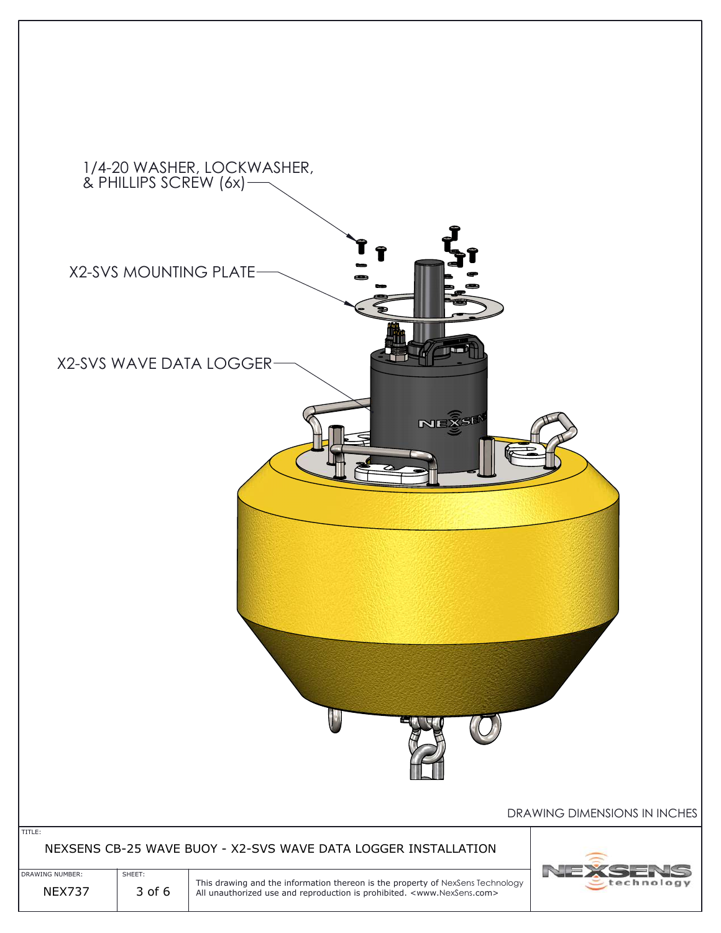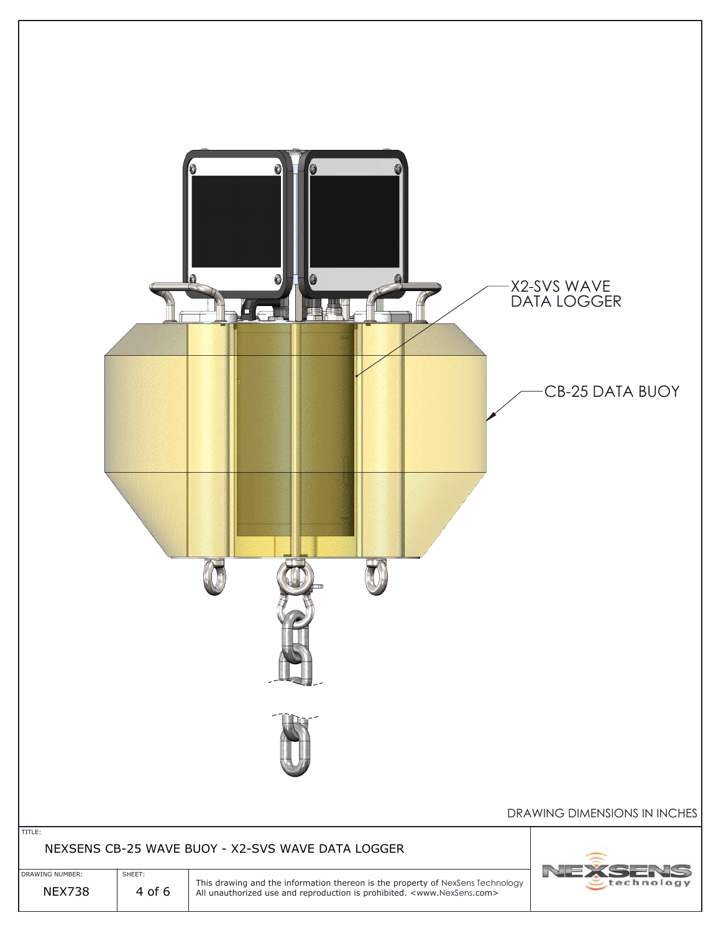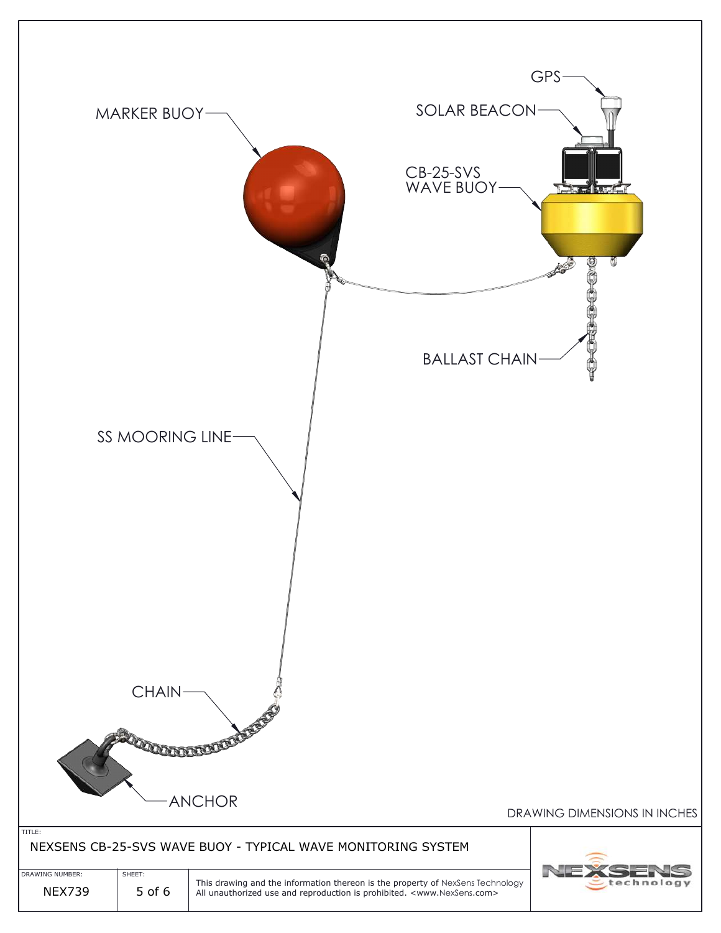